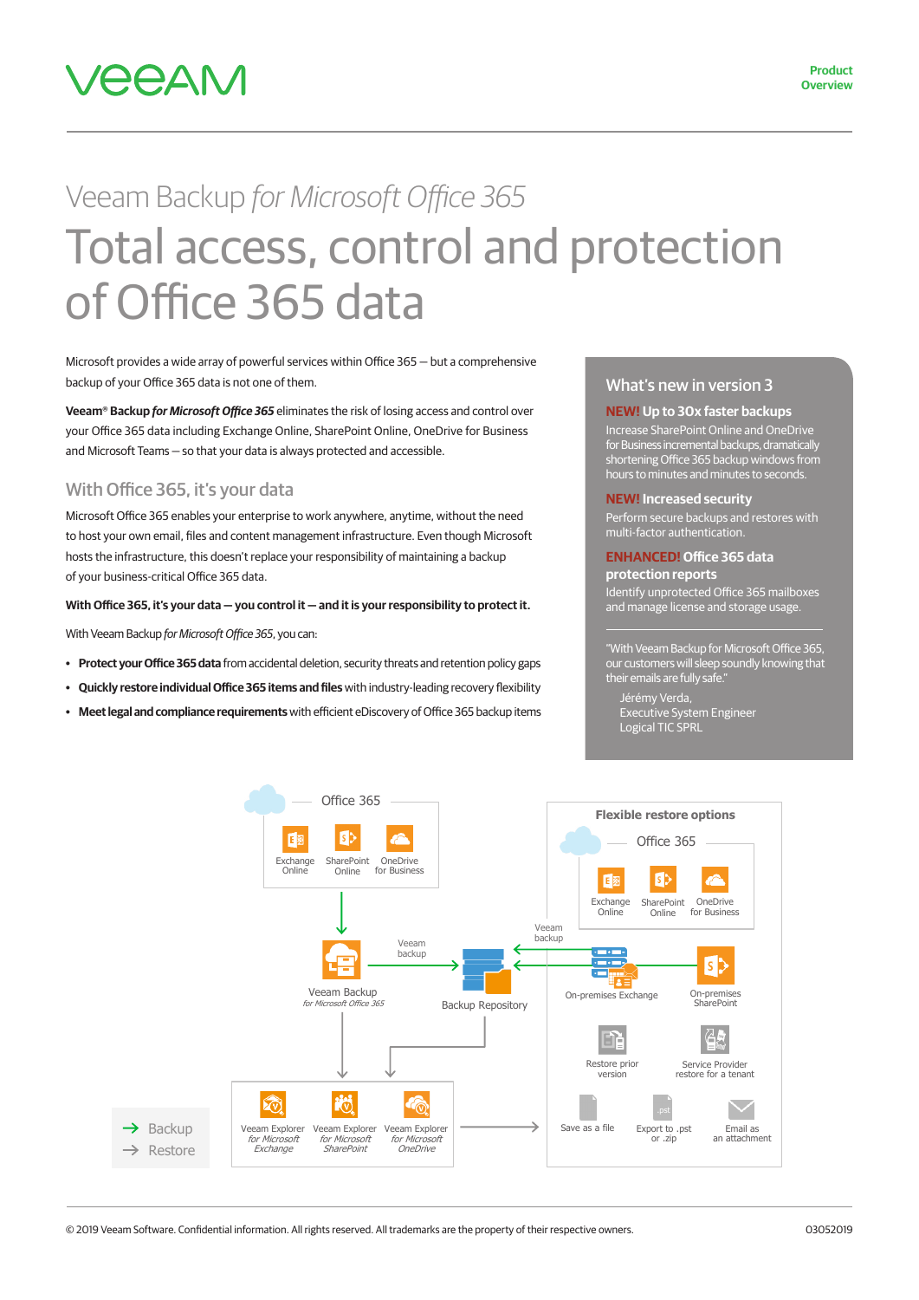

# Veeam Backup *for Microsoft Office 365* Total access, control and protection of Office 365 data

Microsoft provides a wide array of powerful services within Office 365 — but a comprehensive backup of your Office 365 data is not one of them.

**Veeam® Backup** *for Microsoft Office 365* eliminates the risk of losing access and control over your Office 365 data including Exchange Online, SharePoint Online, OneDrive for Business and Microsoft Teams — so that your data is always protected and accessible.

#### With Office 365, it's your data

Microsoft Office 365 enables your enterprise to work anywhere, anytime, without the need to host your own email, files and content management infrastructure. Even though Microsoft hosts the infrastructure, this doesn't replace your responsibility of maintaining a backup of your business-critical Office 365 data.

#### **With Office 365, it's your data — you control it — and it is your responsibility to protect it.**

With Veeam Backup *for Microsoft Office 365*, you can:

- **• Protect your Office 365 data** from accidental deletion, security threats and retention policy gaps
- **• Quickly restore individual Office 365 items and files** with industry-leading recovery flexibility
- **• Meet legal and compliance requirements** with efficient eDiscovery of Office 365 backup items

#### What's new in version 3

**NEW! Up to 30x faster backups**  Increase SharePoint Online and OneDrive for Business incremental backups, dramatically shortening Office 365 backup windows from hours to minutes and minutes to seconds.

#### **NEW! Increased security**

erform secure backups and restores with multi-factor authentication.

#### **ENHANCED! Office 365 data protection reports**

Identify unprotected Office 365 mailboxes and manage license and storage usage

"With Veeam Backup for Microsoft Office 365, our customers will sleep soundly knowing that their emails are fully safe."

Jérémy Verda, Executive System Engineer